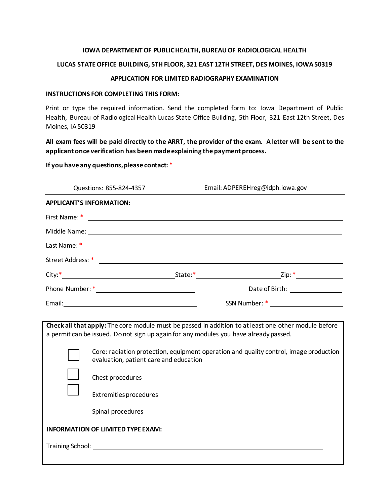## **IOWA DEPARTMENTOF PUBLIC HEALTH, BUREAUOF RADIOLOGICAL HEALTH**

## **LUCAS STATEOFFICE BUILDING, 5THFLOOR, 321 EAST 12THSTREET, DES MOINES, IOWA50319**

## **APPLICATION FOR LIMITED RADIOGRAPHYEXAMINATION**

## **INSTRUCTIONS FOR COMPLETINGTHIS FORM:**

Print or type the required information. Send the completed form to: Iowa Department of Public Health, Bureau of Radiological Health Lucas State Office Building, 5th Floor, 321 East 12th Street, Des Moines, IA50319

## **All exam fees will be paid directly to the ARRT, the provider of the exam. A letter will be sent to the applicant once verification has been made explaining the payment process.**

## **If you have any questions,please contact:** \*

|                                          | Questions: 855-824-4357                                                                                                                             | Email: ADPEREHreg@idph.iowa.gov                                                                      |  |  |
|------------------------------------------|-----------------------------------------------------------------------------------------------------------------------------------------------------|------------------------------------------------------------------------------------------------------|--|--|
| <b>APPLICANT'S INFORMATION:</b>          |                                                                                                                                                     |                                                                                                      |  |  |
| First Name: *                            | <u> 2008 - Jan Barbara (j. 1958)</u>                                                                                                                |                                                                                                      |  |  |
|                                          |                                                                                                                                                     |                                                                                                      |  |  |
|                                          |                                                                                                                                                     |                                                                                                      |  |  |
|                                          |                                                                                                                                                     |                                                                                                      |  |  |
|                                          |                                                                                                                                                     |                                                                                                      |  |  |
|                                          |                                                                                                                                                     | Date of Birth: <u>container and all</u>                                                              |  |  |
|                                          |                                                                                                                                                     |                                                                                                      |  |  |
|                                          |                                                                                                                                                     |                                                                                                      |  |  |
|                                          | a permit can be issued. Do not sign up again for any modules you have already passed.                                                               | Check all that apply: The core module must be passed in addition to at least one other module before |  |  |
|                                          | Core: radiation protection, equipment operation and quality control, image production<br>evaluation, patient care and education<br>Chest procedures |                                                                                                      |  |  |
|                                          |                                                                                                                                                     |                                                                                                      |  |  |
|                                          | Extremities procedures                                                                                                                              |                                                                                                      |  |  |
|                                          | Spinal procedures                                                                                                                                   |                                                                                                      |  |  |
|                                          | <b>INFORMATION OF LIMITED TYPE EXAM:</b>                                                                                                            |                                                                                                      |  |  |
| <b>Training School:</b> Training School: |                                                                                                                                                     |                                                                                                      |  |  |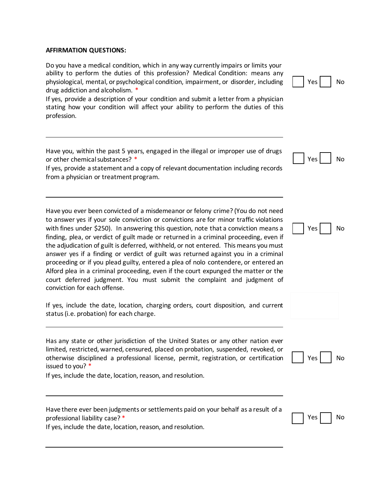#### **AFFIRMATION QUESTIONS:**

Do you have a medical condition, which in any way currently impairs or limits your ability to perform the duties of this profession? Medical Condition: means any physiological, mental, or psychological condition, impairment, or disorder, including drug addiction and alcoholism. \*

If yes, provide a description of your condition and submit a letter from a physician stating how your condition will affect your ability to perform the duties of this profession.

| Have you, within the past 5 years, engaged in the illegal or improper use of drugs |  |  |  |  |  |
|------------------------------------------------------------------------------------|--|--|--|--|--|
| or other chemical substances? *                                                    |  |  |  |  |  |

If yes, provide a statement and a copy of relevant documentation including records from a physician or treatment program.

Have you ever been convicted of a misdemeanor or felony crime? (You do not need to answer yes if your sole conviction or convictions are for minor traffic violations with fines under \$250). In answering this question, note that a conviction means a finding, plea, or verdict of guilt made or returned in a criminal proceeding, even if the adjudication of guilt is deferred, withheld, or not entered. This means you must answer yes if a finding or verdict of guilt was returned against you in a criminal proceeding or if you plead guilty, entered a plea of nolo contendere, or entered an Alford plea in a criminal proceeding, even if the court expunged the matter or the court deferred judgment. You must submit the complaint and judgment of conviction for each offense.

If yes, include the date, location, charging orders, court disposition, and current status (i.e. probation) for each charge.

Has any state or other jurisdiction of the United States or any other nation ever limited, restricted, warned, censured, placed on probation, suspended, revoked, or otherwise disciplined a professional license, permit, registration, or certification issued to you? \*

If yes, include the date, location, reason, and resolution.

Have there ever been judgments or settlements paid on your behalf as a result of a professional liability case? \*

If yes, include the date, location, reason, and resolution.





Yes | No



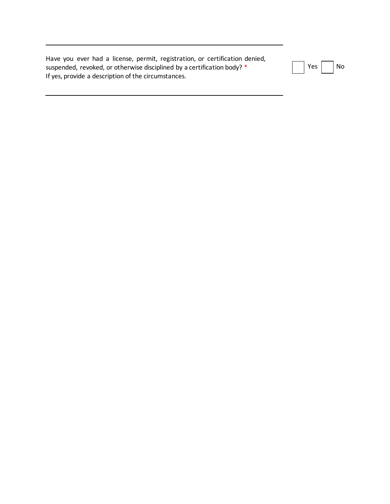Have you ever had a license, permit, registration, or certification denied, suspended, revoked, or otherwise disciplined by a certification body? \* If yes, provide a description of the circumstances.

| ρc |  | ח\י |
|----|--|-----|
|----|--|-----|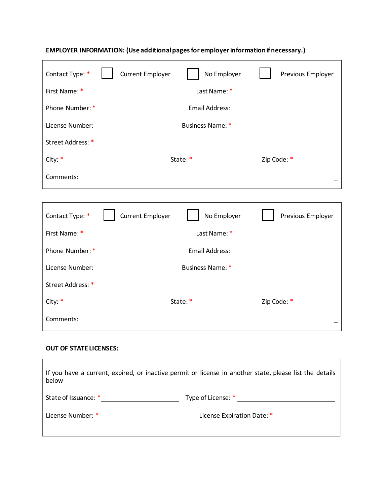| Contact Type: *   | <b>Current Employer</b> | No Employer           | Previous Employer |  |
|-------------------|-------------------------|-----------------------|-------------------|--|
| First Name: *     |                         | Last Name: *          |                   |  |
| Phone Number: *   |                         | <b>Email Address:</b> |                   |  |
| License Number:   | Business Name: *        |                       |                   |  |
| Street Address: * |                         |                       |                   |  |
| City: $*$         |                         | State:*               | Zip Code: *       |  |
| Comments:         |                         |                       |                   |  |

## **EMPLOYER INFORMATION: (Use additionalpagesfor employerinformationifnecessary.)**

| Contact Type: *   | <b>Current Employer</b> | No Employer    | Previous Employer |  |
|-------------------|-------------------------|----------------|-------------------|--|
| First Name: *     |                         | Last Name: *   |                   |  |
| Phone Number: *   |                         | Email Address: |                   |  |
| License Number:   | Business Name: *        |                |                   |  |
| Street Address: * |                         |                |                   |  |
| City: $*$         |                         | State:*        | Zip Code: *       |  |
| Comments:         |                         |                |                   |  |

<u> 1989 - Johann Stoff, deutscher Stoff, der Stoff, der Stoff, der Stoff, der Stoff, der Stoff, der Stoff, der S</u>

 $\overline{\phantom{0}}$ 

# **OUT OF STATE LICENSES:**

| If you have a current, expired, or inactive permit or license in another state, please list the details<br>below |                            |  |  |
|------------------------------------------------------------------------------------------------------------------|----------------------------|--|--|
| State of Issuance: *                                                                                             | Type of License: *         |  |  |
| License Number: *                                                                                                | License Expiration Date: * |  |  |
|                                                                                                                  |                            |  |  |